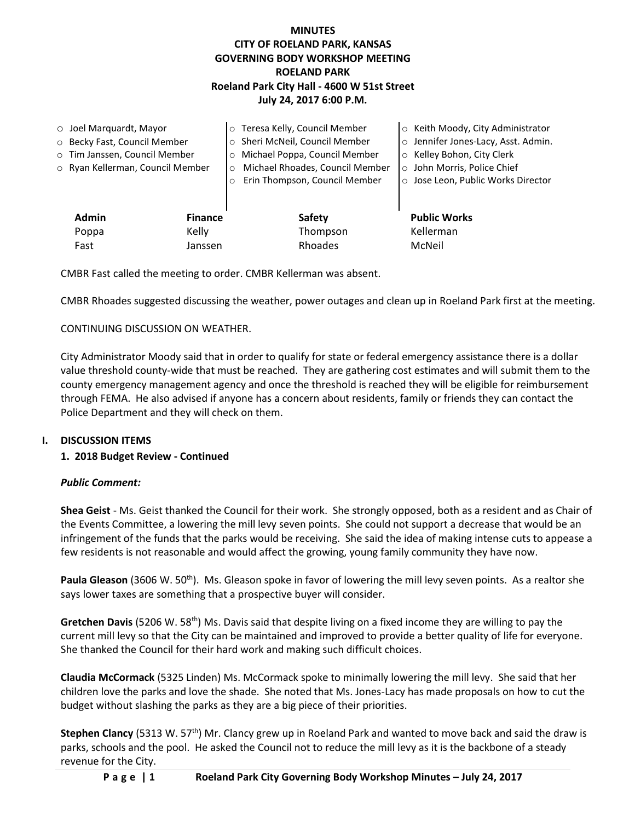# **MINUTES CITY OF ROELAND PARK, KANSAS GOVERNING BODY WORKSHOP MEETING ROELAND PARK Roeland Park City Hall - 4600 W 51st Street July 24, 2017 6:00 P.M.**

| $\circ$ Joel Marquardt, Mayor |                                  |                | o Teresa Kelly, Council Member             | ○ Keith Moody, City Administrator   |
|-------------------------------|----------------------------------|----------------|--------------------------------------------|-------------------------------------|
| O Becky Fast, Council Member  |                                  |                | o Sheri McNeil, Council Member             | o Jennifer Jones-Lacy, Asst. Admin. |
|                               | o Tim Janssen, Council Member    |                | o Michael Poppa, Council Member            | ○ Kelley Bohon, City Clerk          |
|                               | o Ryan Kellerman, Council Member |                | Michael Rhoades, Council Member<br>$\circ$ | ○ John Morris, Police Chief         |
|                               |                                  |                | Erin Thompson, Council Member<br>$\circ$   | ○ Jose Leon, Public Works Director  |
|                               |                                  |                |                                            |                                     |
|                               | <b>Admin</b>                     | <b>Finance</b> | <b>Safety</b>                              | <b>Public Works</b>                 |
|                               | Poppa                            | Kelly          | Thompson                                   | Kellerman                           |
|                               | Fast                             | Janssen        | Rhoades                                    | McNeil                              |

CMBR Fast called the meeting to order. CMBR Kellerman was absent.

CMBR Rhoades suggested discussing the weather, power outages and clean up in Roeland Park first at the meeting.

#### CONTINUING DISCUSSION ON WEATHER.

City Administrator Moody said that in order to qualify for state or federal emergency assistance there is a dollar value threshold county-wide that must be reached. They are gathering cost estimates and will submit them to the county emergency management agency and once the threshold is reached they will be eligible for reimbursement through FEMA. He also advised if anyone has a concern about residents, family or friends they can contact the Police Department and they will check on them.

#### **I. DISCUSSION ITEMS**

### **1. 2018 Budget Review - Continued**

#### *Public Comment:*

**Shea Geist** - Ms. Geist thanked the Council for their work. She strongly opposed, both as a resident and as Chair of the Events Committee, a lowering the mill levy seven points. She could not support a decrease that would be an infringement of the funds that the parks would be receiving. She said the idea of making intense cuts to appease a few residents is not reasonable and would affect the growing, young family community they have now.

Paula Gleason (3606 W. 50<sup>th</sup>). Ms. Gleason spoke in favor of lowering the mill levy seven points. As a realtor she says lower taxes are something that a prospective buyer will consider.

**Gretchen Davis** (5206 W. 58<sup>th</sup>) Ms. Davis said that despite living on a fixed income they are willing to pay the current mill levy so that the City can be maintained and improved to provide a better quality of life for everyone. She thanked the Council for their hard work and making such difficult choices.

**Claudia McCormack** (5325 Linden) Ms. McCormack spoke to minimally lowering the mill levy. She said that her children love the parks and love the shade. She noted that Ms. Jones-Lacy has made proposals on how to cut the budget without slashing the parks as they are a big piece of their priorities.

**Stephen Clancy** (5313 W. 57<sup>th</sup>) Mr. Clancy grew up in Roeland Park and wanted to move back and said the draw is parks, schools and the pool. He asked the Council not to reduce the mill levy as it is the backbone of a steady revenue for the City.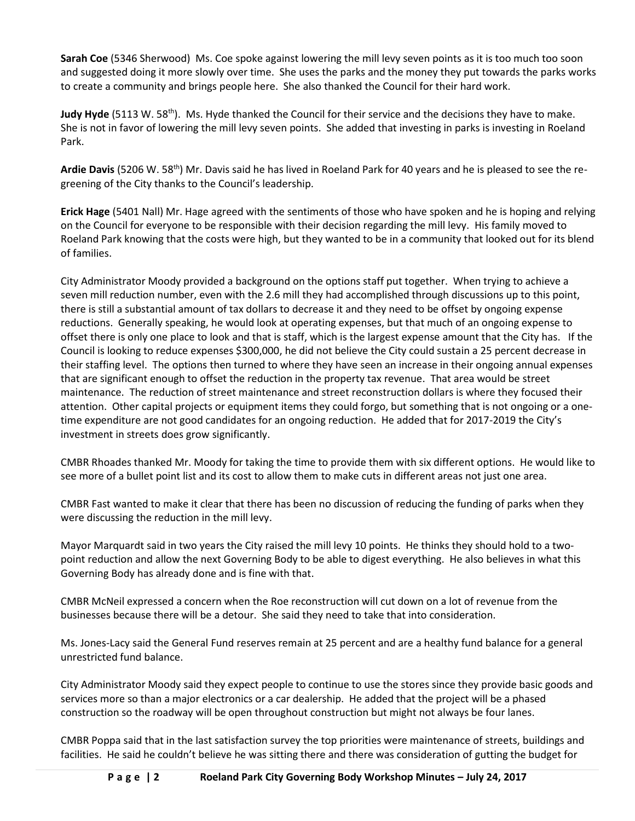**Sarah Coe** (5346 Sherwood) Ms. Coe spoke against lowering the mill levy seven points as it is too much too soon and suggested doing it more slowly over time. She uses the parks and the money they put towards the parks works to create a community and brings people here. She also thanked the Council for their hard work.

**Judy Hyde** (5113 W. 58<sup>th</sup>). Ms. Hyde thanked the Council for their service and the decisions they have to make. She is not in favor of lowering the mill levy seven points. She added that investing in parks is investing in Roeland Park.

**Ardie Davis** (5206 W. 58th) Mr. Davis said he has lived in Roeland Park for 40 years and he is pleased to see the regreening of the City thanks to the Council's leadership.

**Erick Hage** (5401 Nall) Mr. Hage agreed with the sentiments of those who have spoken and he is hoping and relying on the Council for everyone to be responsible with their decision regarding the mill levy. His family moved to Roeland Park knowing that the costs were high, but they wanted to be in a community that looked out for its blend of families.

City Administrator Moody provided a background on the options staff put together. When trying to achieve a seven mill reduction number, even with the 2.6 mill they had accomplished through discussions up to this point, there is still a substantial amount of tax dollars to decrease it and they need to be offset by ongoing expense reductions. Generally speaking, he would look at operating expenses, but that much of an ongoing expense to offset there is only one place to look and that is staff, which is the largest expense amount that the City has. If the Council is looking to reduce expenses \$300,000, he did not believe the City could sustain a 25 percent decrease in their staffing level. The options then turned to where they have seen an increase in their ongoing annual expenses that are significant enough to offset the reduction in the property tax revenue. That area would be street maintenance. The reduction of street maintenance and street reconstruction dollars is where they focused their attention. Other capital projects or equipment items they could forgo, but something that is not ongoing or a onetime expenditure are not good candidates for an ongoing reduction. He added that for 2017-2019 the City's investment in streets does grow significantly.

CMBR Rhoades thanked Mr. Moody for taking the time to provide them with six different options. He would like to see more of a bullet point list and its cost to allow them to make cuts in different areas not just one area.

CMBR Fast wanted to make it clear that there has been no discussion of reducing the funding of parks when they were discussing the reduction in the mill levy.

Mayor Marquardt said in two years the City raised the mill levy 10 points. He thinks they should hold to a twopoint reduction and allow the next Governing Body to be able to digest everything. He also believes in what this Governing Body has already done and is fine with that.

CMBR McNeil expressed a concern when the Roe reconstruction will cut down on a lot of revenue from the businesses because there will be a detour. She said they need to take that into consideration.

Ms. Jones-Lacy said the General Fund reserves remain at 25 percent and are a healthy fund balance for a general unrestricted fund balance.

City Administrator Moody said they expect people to continue to use the stores since they provide basic goods and services more so than a major electronics or a car dealership. He added that the project will be a phased construction so the roadway will be open throughout construction but might not always be four lanes.

CMBR Poppa said that in the last satisfaction survey the top priorities were maintenance of streets, buildings and facilities. He said he couldn't believe he was sitting there and there was consideration of gutting the budget for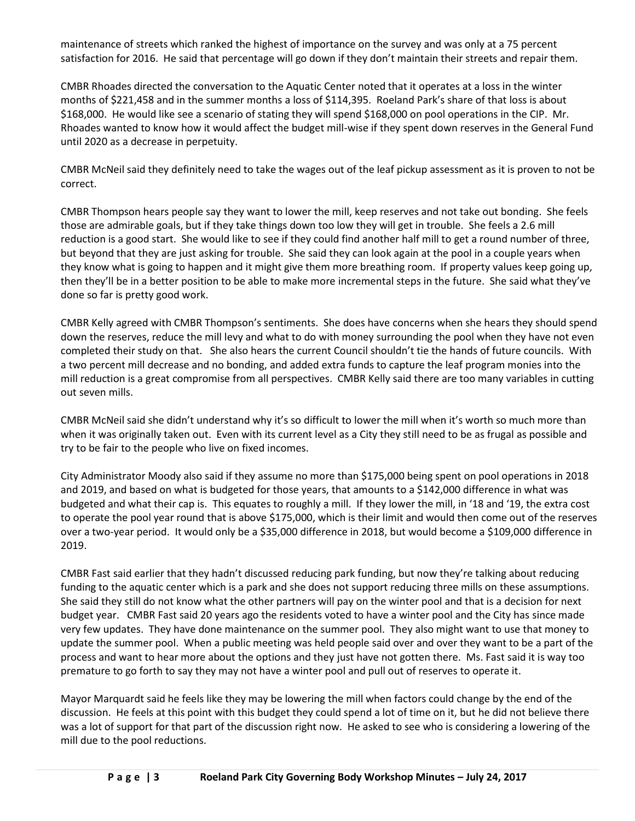maintenance of streets which ranked the highest of importance on the survey and was only at a 75 percent satisfaction for 2016. He said that percentage will go down if they don't maintain their streets and repair them.

CMBR Rhoades directed the conversation to the Aquatic Center noted that it operates at a loss in the winter months of \$221,458 and in the summer months a loss of \$114,395. Roeland Park's share of that loss is about \$168,000. He would like see a scenario of stating they will spend \$168,000 on pool operations in the CIP. Mr. Rhoades wanted to know how it would affect the budget mill-wise if they spent down reserves in the General Fund until 2020 as a decrease in perpetuity.

CMBR McNeil said they definitely need to take the wages out of the leaf pickup assessment as it is proven to not be correct.

CMBR Thompson hears people say they want to lower the mill, keep reserves and not take out bonding. She feels those are admirable goals, but if they take things down too low they will get in trouble. She feels a 2.6 mill reduction is a good start. She would like to see if they could find another half mill to get a round number of three, but beyond that they are just asking for trouble. She said they can look again at the pool in a couple years when they know what is going to happen and it might give them more breathing room. If property values keep going up, then they'll be in a better position to be able to make more incremental steps in the future. She said what they've done so far is pretty good work.

CMBR Kelly agreed with CMBR Thompson's sentiments. She does have concerns when she hears they should spend down the reserves, reduce the mill levy and what to do with money surrounding the pool when they have not even completed their study on that. She also hears the current Council shouldn't tie the hands of future councils. With a two percent mill decrease and no bonding, and added extra funds to capture the leaf program monies into the mill reduction is a great compromise from all perspectives. CMBR Kelly said there are too many variables in cutting out seven mills.

CMBR McNeil said she didn't understand why it's so difficult to lower the mill when it's worth so much more than when it was originally taken out. Even with its current level as a City they still need to be as frugal as possible and try to be fair to the people who live on fixed incomes.

City Administrator Moody also said if they assume no more than \$175,000 being spent on pool operations in 2018 and 2019, and based on what is budgeted for those years, that amounts to a \$142,000 difference in what was budgeted and what their cap is. This equates to roughly a mill. If they lower the mill, in '18 and '19, the extra cost to operate the pool year round that is above \$175,000, which is their limit and would then come out of the reserves over a two-year period. It would only be a \$35,000 difference in 2018, but would become a \$109,000 difference in 2019.

CMBR Fast said earlier that they hadn't discussed reducing park funding, but now they're talking about reducing funding to the aquatic center which is a park and she does not support reducing three mills on these assumptions. She said they still do not know what the other partners will pay on the winter pool and that is a decision for next budget year. CMBR Fast said 20 years ago the residents voted to have a winter pool and the City has since made very few updates. They have done maintenance on the summer pool. They also might want to use that money to update the summer pool. When a public meeting was held people said over and over they want to be a part of the process and want to hear more about the options and they just have not gotten there. Ms. Fast said it is way too premature to go forth to say they may not have a winter pool and pull out of reserves to operate it.

Mayor Marquardt said he feels like they may be lowering the mill when factors could change by the end of the discussion. He feels at this point with this budget they could spend a lot of time on it, but he did not believe there was a lot of support for that part of the discussion right now. He asked to see who is considering a lowering of the mill due to the pool reductions.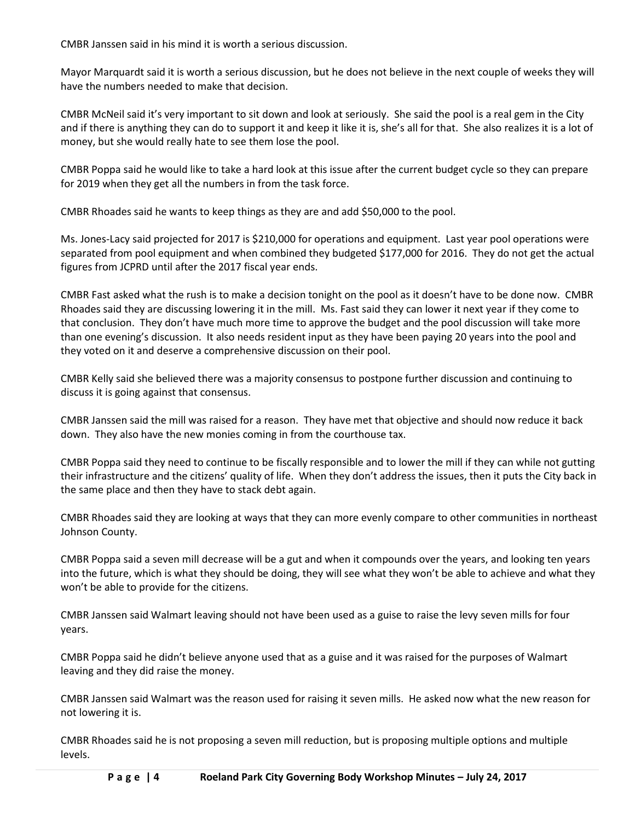CMBR Janssen said in his mind it is worth a serious discussion.

Mayor Marquardt said it is worth a serious discussion, but he does not believe in the next couple of weeks they will have the numbers needed to make that decision.

CMBR McNeil said it's very important to sit down and look at seriously. She said the pool is a real gem in the City and if there is anything they can do to support it and keep it like it is, she's all for that. She also realizes it is a lot of money, but she would really hate to see them lose the pool.

CMBR Poppa said he would like to take a hard look at this issue after the current budget cycle so they can prepare for 2019 when they get all the numbers in from the task force.

CMBR Rhoades said he wants to keep things as they are and add \$50,000 to the pool.

Ms. Jones-Lacy said projected for 2017 is \$210,000 for operations and equipment. Last year pool operations were separated from pool equipment and when combined they budgeted \$177,000 for 2016. They do not get the actual figures from JCPRD until after the 2017 fiscal year ends.

CMBR Fast asked what the rush is to make a decision tonight on the pool as it doesn't have to be done now. CMBR Rhoades said they are discussing lowering it in the mill. Ms. Fast said they can lower it next year if they come to that conclusion. They don't have much more time to approve the budget and the pool discussion will take more than one evening's discussion. It also needs resident input as they have been paying 20 years into the pool and they voted on it and deserve a comprehensive discussion on their pool.

CMBR Kelly said she believed there was a majority consensus to postpone further discussion and continuing to discuss it is going against that consensus.

CMBR Janssen said the mill was raised for a reason. They have met that objective and should now reduce it back down. They also have the new monies coming in from the courthouse tax.

CMBR Poppa said they need to continue to be fiscally responsible and to lower the mill if they can while not gutting their infrastructure and the citizens' quality of life. When they don't address the issues, then it puts the City back in the same place and then they have to stack debt again.

CMBR Rhoades said they are looking at ways that they can more evenly compare to other communities in northeast Johnson County.

CMBR Poppa said a seven mill decrease will be a gut and when it compounds over the years, and looking ten years into the future, which is what they should be doing, they will see what they won't be able to achieve and what they won't be able to provide for the citizens.

CMBR Janssen said Walmart leaving should not have been used as a guise to raise the levy seven mills for four years.

CMBR Poppa said he didn't believe anyone used that as a guise and it was raised for the purposes of Walmart leaving and they did raise the money.

CMBR Janssen said Walmart was the reason used for raising it seven mills. He asked now what the new reason for not lowering it is.

CMBR Rhoades said he is not proposing a seven mill reduction, but is proposing multiple options and multiple levels.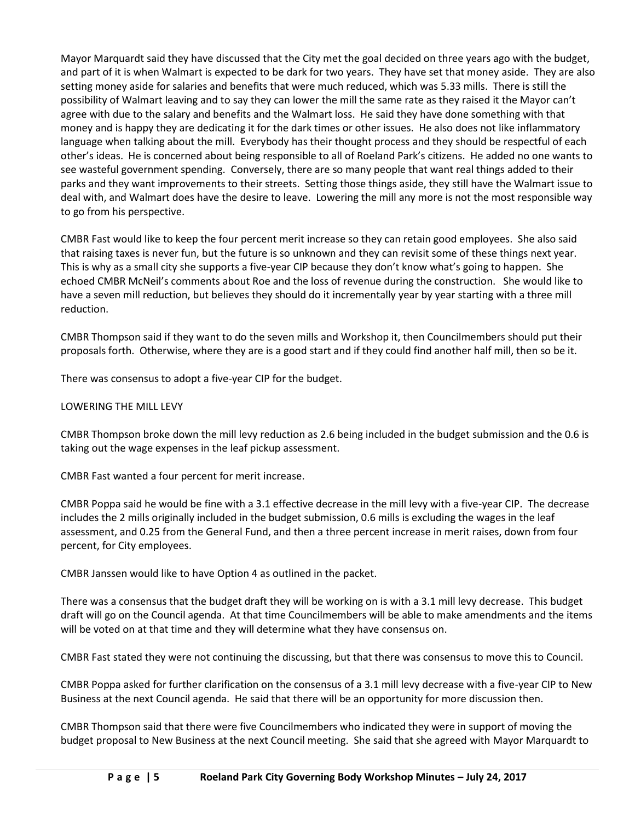Mayor Marquardt said they have discussed that the City met the goal decided on three years ago with the budget, and part of it is when Walmart is expected to be dark for two years. They have set that money aside. They are also setting money aside for salaries and benefits that were much reduced, which was 5.33 mills. There is still the possibility of Walmart leaving and to say they can lower the mill the same rate as they raised it the Mayor can't agree with due to the salary and benefits and the Walmart loss. He said they have done something with that money and is happy they are dedicating it for the dark times or other issues. He also does not like inflammatory language when talking about the mill. Everybody has their thought process and they should be respectful of each other's ideas. He is concerned about being responsible to all of Roeland Park's citizens. He added no one wants to see wasteful government spending. Conversely, there are so many people that want real things added to their parks and they want improvements to their streets. Setting those things aside, they still have the Walmart issue to deal with, and Walmart does have the desire to leave. Lowering the mill any more is not the most responsible way to go from his perspective.

CMBR Fast would like to keep the four percent merit increase so they can retain good employees. She also said that raising taxes is never fun, but the future is so unknown and they can revisit some of these things next year. This is why as a small city she supports a five-year CIP because they don't know what's going to happen. She echoed CMBR McNeil's comments about Roe and the loss of revenue during the construction. She would like to have a seven mill reduction, but believes they should do it incrementally year by year starting with a three mill reduction.

CMBR Thompson said if they want to do the seven mills and Workshop it, then Councilmembers should put their proposals forth. Otherwise, where they are is a good start and if they could find another half mill, then so be it.

There was consensus to adopt a five-year CIP for the budget.

## LOWERING THE MILL LEVY

CMBR Thompson broke down the mill levy reduction as 2.6 being included in the budget submission and the 0.6 is taking out the wage expenses in the leaf pickup assessment.

CMBR Fast wanted a four percent for merit increase.

CMBR Poppa said he would be fine with a 3.1 effective decrease in the mill levy with a five-year CIP. The decrease includes the 2 mills originally included in the budget submission, 0.6 mills is excluding the wages in the leaf assessment, and 0.25 from the General Fund, and then a three percent increase in merit raises, down from four percent, for City employees.

CMBR Janssen would like to have Option 4 as outlined in the packet.

There was a consensus that the budget draft they will be working on is with a 3.1 mill levy decrease. This budget draft will go on the Council agenda. At that time Councilmembers will be able to make amendments and the items will be voted on at that time and they will determine what they have consensus on.

CMBR Fast stated they were not continuing the discussing, but that there was consensus to move this to Council.

CMBR Poppa asked for further clarification on the consensus of a 3.1 mill levy decrease with a five-year CIP to New Business at the next Council agenda. He said that there will be an opportunity for more discussion then.

CMBR Thompson said that there were five Councilmembers who indicated they were in support of moving the budget proposal to New Business at the next Council meeting. She said that she agreed with Mayor Marquardt to